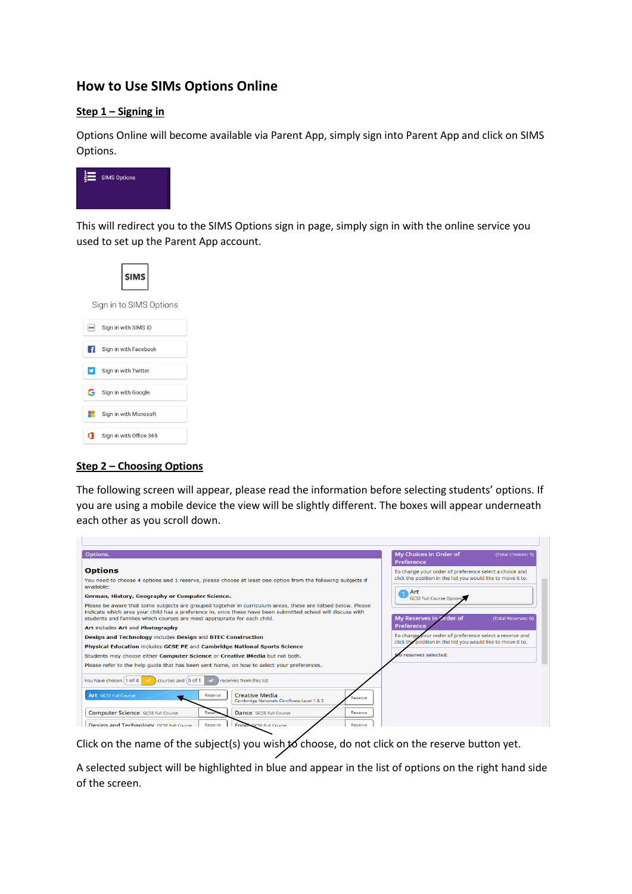# **How to Use SIMs Options Online**

## **Step 1 – Signing in**

Options Online will become available via Parent App, simply sign into Parent App and click on SIMS Options.



This will redirect you to the SIMS Options sign in page, simply sign in with the online service you used to set up the Parent App account.



### **Step 2 – Choosing Options**

The following screen will appear, please read the information before selecting students' options. If you are using a mobile device the view will be slightly different. The boxes will appear underneath each other as you scroll down.

| Options.                                                                                                                                                                                                                                                                                                | My Choices in Order of<br>(Total Choices: 1)<br>Preference   |
|---------------------------------------------------------------------------------------------------------------------------------------------------------------------------------------------------------------------------------------------------------------------------------------------------------|--------------------------------------------------------------|
| <b>Options</b>                                                                                                                                                                                                                                                                                          | To change your order of preference select a choice and       |
| You need to choose 4 options and 1 reserve, please choose at least one option from the following subjects if<br>available:                                                                                                                                                                              | click the position in the list you would like to move it to. |
| German, History, Geography or Computer Science.                                                                                                                                                                                                                                                         | Art<br>$\overline{1}$<br><b>GCSE Full Course Options</b>     |
| Please be aware that some subjects are grouped togteher in curriculum areas, these are listsed below. Please<br>indicate which area your child has a preference in, once these have been submitted school will discuss with<br>students and families which courses are most appropraite for each child. | My Reserves in Order of<br>(Total Reserves: 0)               |
| Art includes Art and Photography                                                                                                                                                                                                                                                                        | Preference                                                   |
| Design and Technology includes Design and BTEC Construction                                                                                                                                                                                                                                             | To change your order of preference select a reserve and      |
| Physical Education includes GCSE PE and Cambridge National Sports Science                                                                                                                                                                                                                               | click the position in the list you would like to move it to. |
| Students may choose either <b>Computer Science</b> or <b>Creative iMedia</b> but not both.                                                                                                                                                                                                              | No reserves selected.                                        |
| Please refer to the help quide that has been sent home, on how to select your preferences.                                                                                                                                                                                                              |                                                              |
| You have chosen [1 of 4 ]<br>courses and $(0 \text{ of } 1)$<br>reserves from this list.<br>$\overline{\phantom{a}}$                                                                                                                                                                                    |                                                              |
| <b>Creative Media</b><br><b>Art</b> GCSE Full Course<br>Reserve<br>Cambridge Nationals Certificate Level 1 & 2                                                                                                                                                                                          | Reserve                                                      |
| Computer Science GCSE Full Course<br>Dance GCSE Full Course<br>Rese                                                                                                                                                                                                                                     | Reserve                                                      |
| Design and Technology GCSE Full Course<br><b>Food: GCSF Full Course</b><br>Reserve                                                                                                                                                                                                                      | Reserve                                                      |

Click on the name of the subject(s) you wish to choose, do not click on the reserve button yet.

A selected subject will be highlighted in blue and appear in the list of options on the right hand side of the screen.